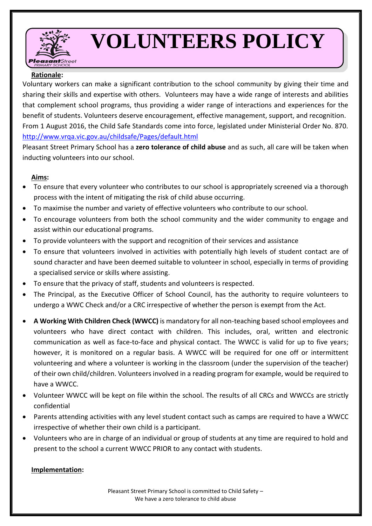

# **VOLUNTEERS POLICY**

# **Rationale:**

Voluntary workers can make a significant contribution to the school community by giving their time and sharing their skills and expertise with others. Volunteers may have a wide range of interests and abilities that complement school programs, thus providing a wider range of interactions and experiences for the benefit of students. Volunteers deserve encouragement, effective management, support, and recognition. From 1 August 2016, the Child Safe Standards come into force, legislated under Ministerial Order No. 870. <http://www.vrqa.vic.gov.au/childsafe/Pages/default.html>

Pleasant Street Primary School has a **zero tolerance of child abuse** and as such, all care will be taken when inducting volunteers into our school.

# **Aims:**

- To ensure that every volunteer who contributes to our school is appropriately screened via a thorough process with the intent of mitigating the risk of child abuse occurring.
- To maximise the number and variety of effective volunteers who contribute to our school.
- To encourage volunteers from both the school community and the wider community to engage and assist within our educational programs.
- To provide volunteers with the support and recognition of their services and assistance
- To ensure that volunteers involved in activities with potentially high levels of student contact are of sound character and have been deemed suitable to volunteer in school, especially in terms of providing a specialised service or skills where assisting.
- To ensure that the privacy of staff, students and volunteers is respected.
- The Principal, as the Executive Officer of School Council, has the authority to require volunteers to undergo a WWC Check and/or a CRC irrespective of whether the person is exempt from the Act.
- **A Working With Children Check (WWCC)** is mandatory for all non-teaching based school employees and volunteers who have direct contact with children. This includes, oral, written and electronic communication as well as face-to-face and physical contact. The WWCC is valid for up to five years; however, it is monitored on a regular basis. A WWCC will be required for one off or intermittent volunteering and where a volunteer is working in the classroom (under the supervision of the teacher) of their own child/children. Volunteers involved in a reading program for example, would be required to have a WWCC.
- Volunteer WWCC will be kept on file within the school. The results of all CRCs and WWCCs are strictly confidential
- Parents attending activities with any level student contact such as camps are required to have a WWCC irrespective of whether their own child is a participant.
- Volunteers who are in charge of an individual or group of students at any time are required to hold and present to the school a current WWCC PRIOR to any contact with students.

### **Implementation:**